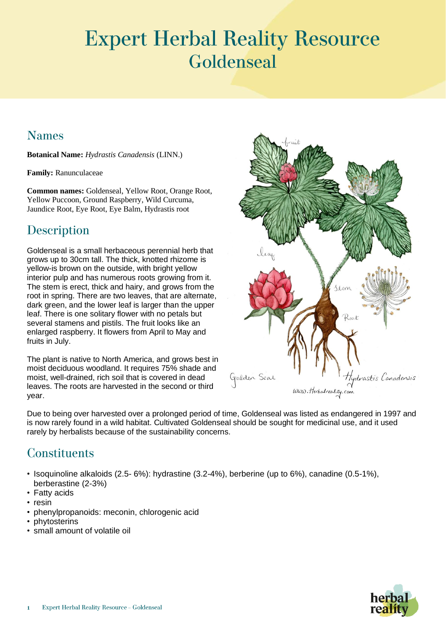# **Expert Herbal Reality Resource** Goldenseal

#### **Names**

**Botanical Name:** *Hydrastis Canadensis* (LINN.)

**Family:** Ranunculaceae

**Common names:** Goldenseal, Yellow Root, Orange Root, Yellow Puccoon, Ground Raspberry, Wild Curcuma, Jaundice Root, Eye Root, Eye Balm, Hydrastis root

## **Description**

Goldenseal is a small herbaceous perennial herb that grows up to 30cm tall. The thick, knotted rhizome is yellow-is brown on the outside, with bright yellow interior pulp and has numerous roots growing from it. The stem is erect, thick and hairy, and grows from the root in spring. There are two leaves, that are alternate, dark green, and the lower leaf is larger than the upper leaf. There is one solitary flower with no petals but several stamens and pistils. The fruit looks like an enlarged raspberry. It flowers from April to May and fruits in July.

The plant is native to North America, and grows best in moist deciduous woodland. It requires 75% shade and moist, well-drained, rich soil that is covered in dead leaves. The roots are harvested in the second or third year.



Due to being over harvested over a prolonged period of time, Goldenseal was listed as endangered in 1997 and is now rarely found in a wild habitat. Cultivated Goldenseal should be sought for medicinal use, and it used rarely by herbalists because of the sustainability concerns.

### **Constituents**

- Isoquinoline alkaloids (2.5- 6%): hydrastine (3.2-4%), berberine (up to 6%), canadine (0.5-1%), berberastine (2-3%)
- Fatty acids
- resin
- phenylpropanoids: meconin, chlorogenic acid
- **phytosterins**
- small amount of volatile oil

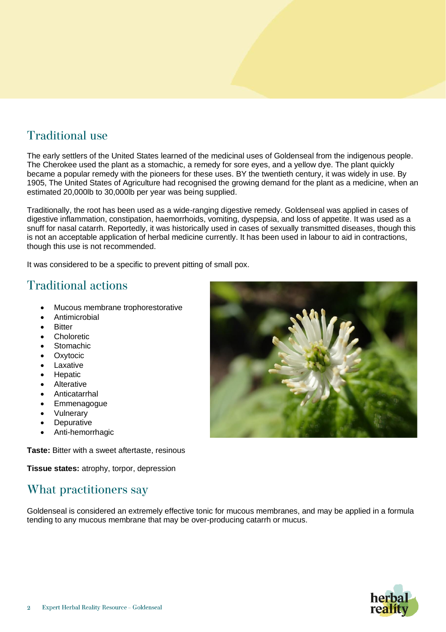#### **Traditional use**

The early settlers of the United States learned of the medicinal uses of Goldenseal from the indigenous people. The Cherokee used the plant as a stomachic, a remedy for sore eyes, and a yellow dye. The plant quickly became a popular remedy with the pioneers for these uses. BY the twentieth century, it was widely in use. By 1905, The United States of Agriculture had recognised the growing demand for the plant as a medicine, when an estimated 20,000lb to 30,000lb per year was being supplied.

Traditionally, the root has been used as a wide-ranging digestive remedy. Goldenseal was applied in cases of digestive inflammation, constipation, haemorrhoids, vomiting, dyspepsia, and loss of appetite. It was used as a snuff for nasal catarrh. Reportedly, it was historically used in cases of sexually transmitted diseases, though this is not an acceptable application of herbal medicine currently. It has been used in labour to aid in contractions, though this use is not recommended.

It was considered to be a specific to prevent pitting of small pox.

#### **Traditional actions**

- Mucous membrane trophorestorative
- **Antimicrobial**
- **Bitter**
- **Choloretic**
- **Stomachic**
- **Oxytocic**
- **Laxative**
- **Hepatic**
- **Alterative**
- **Anticatarrhal**
- **Emmenagogue**
- **Vulnerary**
- **Depurative**
- Anti-hemorrhagic

**Taste:** Bitter with a sweet aftertaste, resinous

**Tissue states:** atrophy, torpor, depression

### What practitioners say

Goldenseal is considered an extremely effective tonic for mucous membranes, and may be applied in a formula tending to any mucous membrane that may be over-producing catarrh or mucus.



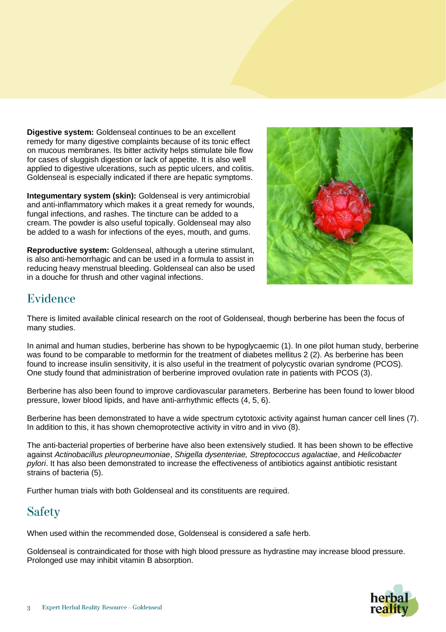**Digestive system:** Goldenseal continues to be an excellent remedy for many digestive complaints because of its tonic effect on mucous membranes. Its bitter activity helps stimulate bile flow for cases of sluggish digestion or lack of appetite. It is also well applied to digestive ulcerations, such as peptic ulcers, and colitis. Goldenseal is especially indicated if there are hepatic symptoms.

**Integumentary system (skin):** Goldenseal is very antimicrobial and anti-inflammatory which makes it a great remedy for wounds, fungal infections, and rashes. The tincture can be added to a cream. The powder is also useful topically. Goldenseal may also be added to a wash for infections of the eyes, mouth, and gums.

**Reproductive system:** Goldenseal, although a uterine stimulant, is also anti-hemorrhagic and can be used in a formula to assist in reducing heavy menstrual bleeding. Goldenseal can also be used in a douche for thrush and other vaginal infections.



#### Evidence

There is limited available clinical research on the root of Goldenseal, though berberine has been the focus of many studies.

In animal and human studies, berberine has shown to be hypoglycaemic (1). In one pilot human study, berberine was found to be comparable to metformin for the treatment of diabetes mellitus 2 (2). As berberine has been found to increase insulin sensitivity, it is also useful in the treatment of polycystic ovarian syndrome (PCOS). One study found that administration of berberine improved ovulation rate in patients with PCOS (3).

Berberine has also been found to improve cardiovascular parameters. Berberine has been found to lower blood pressure, lower blood lipids, and have anti-arrhythmic effects (4, 5, 6).

Berberine has been demonstrated to have a wide spectrum cytotoxic activity against human cancer cell lines (7). In addition to this, it has shown chemoprotective activity in vitro and in vivo (8).

The anti-bacterial properties of berberine have also been extensively studied. It has been shown to be effective against *Actinobacillus pleuropneumoniae*, *Shigella dysenteriae, Streptococcus agalactiae*, and *Helicobacter pylori*. It has also been demonstrated to increase the effectiveness of antibiotics against antibiotic resistant strains of bacteria (5).

Further human trials with both Goldenseal and its constituents are required.

# **Safety**

When used within the recommended dose, Goldenseal is considered a safe herb.

Goldenseal is contraindicated for those with high blood pressure as hydrastine may increase blood pressure. Prolonged use may inhibit vitamin B absorption.